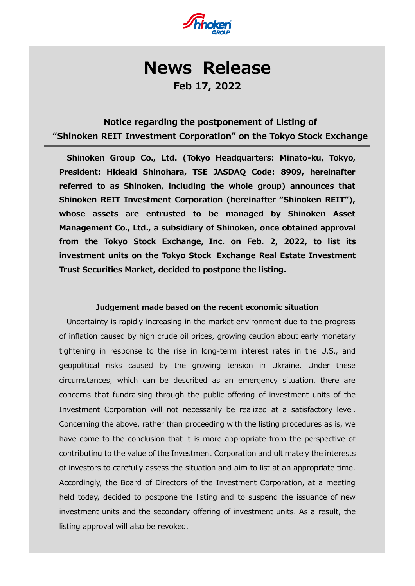

# **News Release**

**Feb 17, 2022**

## **Notice regarding the postponement of Listing of "Shinoken REIT Investment Corporation" on the Tokyo Stock Exchange**

**Shinoken Group Co., Ltd. (Tokyo Headquarters: Minato-ku, Tokyo, President: Hideaki Shinohara, TSE JASDAQ Code: 8909, hereinafter referred to as Shinoken, including the whole group) announces that Shinoken REIT Investment Corporation (hereinafter "Shinoken REIT"), whose assets are entrusted to be managed by Shinoken Asset Management Co., Ltd., a subsidiary of Shinoken, once obtained approval from the Tokyo Stock Exchange, Inc. on Feb. 2, 2022, to list its investment units on the Tokyo Stock Exchange Real Estate Investment Trust Securities Market, decided to postpone the listing.**

#### **Judgement made based on the recent economic situation**

Uncertainty is rapidly increasing in the market environment due to the progress of inflation caused by high crude oil prices, growing caution about early monetary tightening in response to the rise in long-term interest rates in the U.S., and geopolitical risks caused by the growing tension in Ukraine. Under these circumstances, which can be described as an emergency situation, there are concerns that fundraising through the public offering of investment units of the Investment Corporation will not necessarily be realized at a satisfactory level. Concerning the above, rather than proceeding with the listing procedures as is, we have come to the conclusion that it is more appropriate from the perspective of contributing to the value of the Investment Corporation and ultimately the interests of investors to carefully assess the situation and aim to list at an appropriate time. Accordingly, the Board of Directors of the Investment Corporation, at a meeting held today, decided to postpone the listing and to suspend the issuance of new investment units and the secondary offering of investment units. As a result, the listing approval will also be revoked.